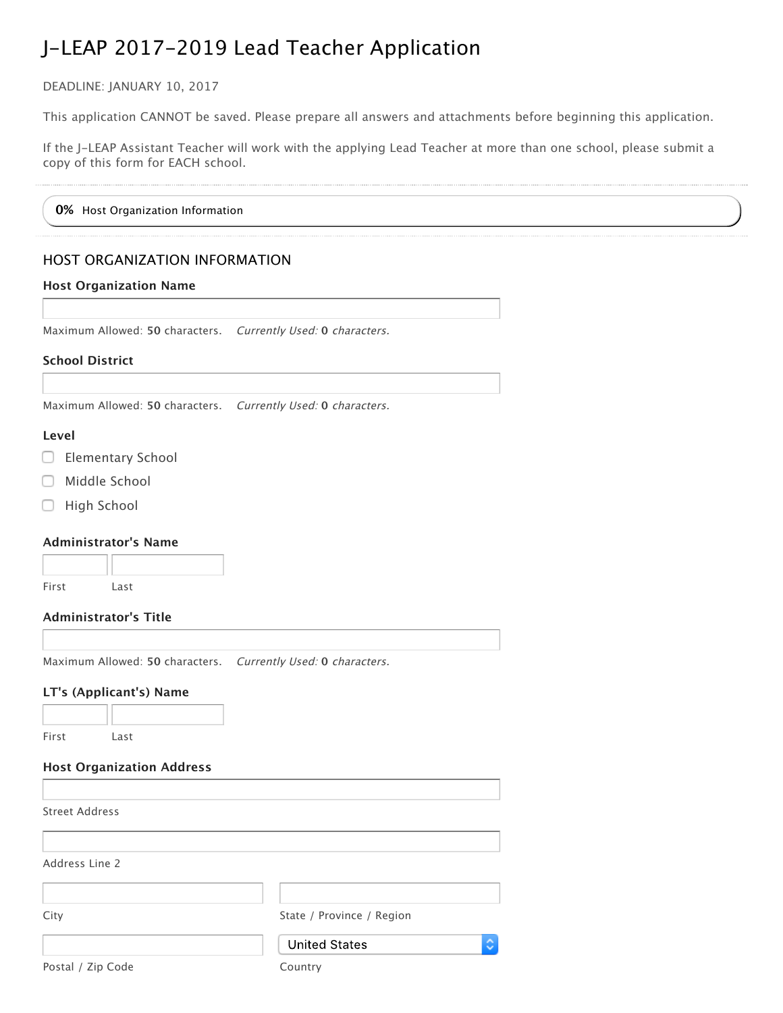DEADLINE: JANUARY 10, 2017

This application CANNOT be saved. Please prepare all answers and attachments before beginning this application.

If the J–LEAP Assistant Teacher will work with the applying Lead Teacher at more than one school, please submit a copy of this form for EACH school.

**0%** Host Organization Information

# HOST ORGANIZATION INFORMATION

### **Host Organization Name**

Maximum Allowed: **50** characters. Currently Used: **0** characters.

### **School District**

Maximum Allowed: **50** characters. Currently Used: **0** characters.

### **Level**

- Elementary School
- Middle School
- High School

### **Administrator's Name**

| First | Last |
|-------|------|

### **Administrator's Title**

Maximum Allowed: **50** characters. Currently Used: **0** characters.

# **LT's (Applicant's) Name**

First Last

**Host Organization Address**

Street Address

Address Line 2

| City | State / Province / Region |
|------|---------------------------|
|      | <b>United States</b>      |

Postal / Zip Code Country

٥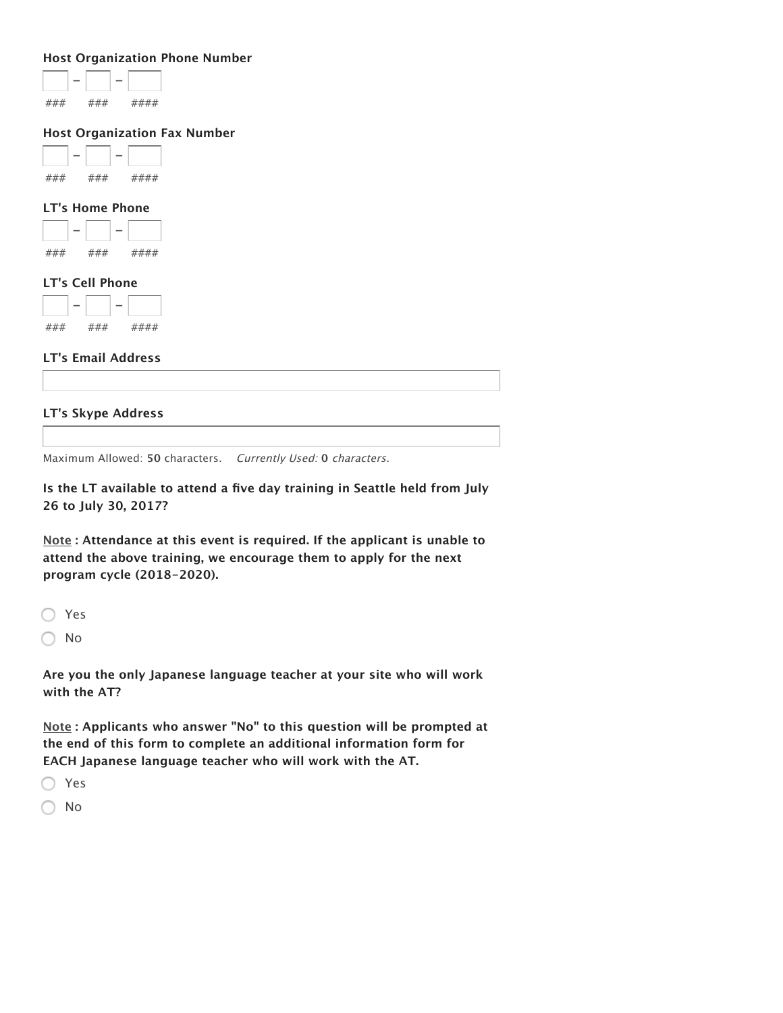#### **Host Organization Phone Number**

#### **Host Organization Fax Number**

| - |  |  |
|---|--|--|
|   |  |  |

#### **LT's Home Phone**



#### **LT's Cell Phone**

|   |    | - |         |
|---|----|---|---------|
| , | ,, |   | ,<br>,, |

# **LT's Email Address**

### **LT's Skype Address**

Maximum Allowed: **50** characters. Currently Used: **0** characters.

**Is the LT available to attend a five day training in Seattle held from July 26 to July 30, 2017?**

**Note : Attendance at this event is required. If the applicant is unable to attend the above training, we encourage them to apply for the next program cycle (2018‑2020).**

◯ Yes

 $\bigcirc$  No

**Are you the only Japanese language teacher at your site who will work with the AT?**

**Note : Applicants who answer "No" to this question will be prompted at the end of this form to complete an additional information form for EACH Japanese language teacher who will work with the AT.**

Yes

No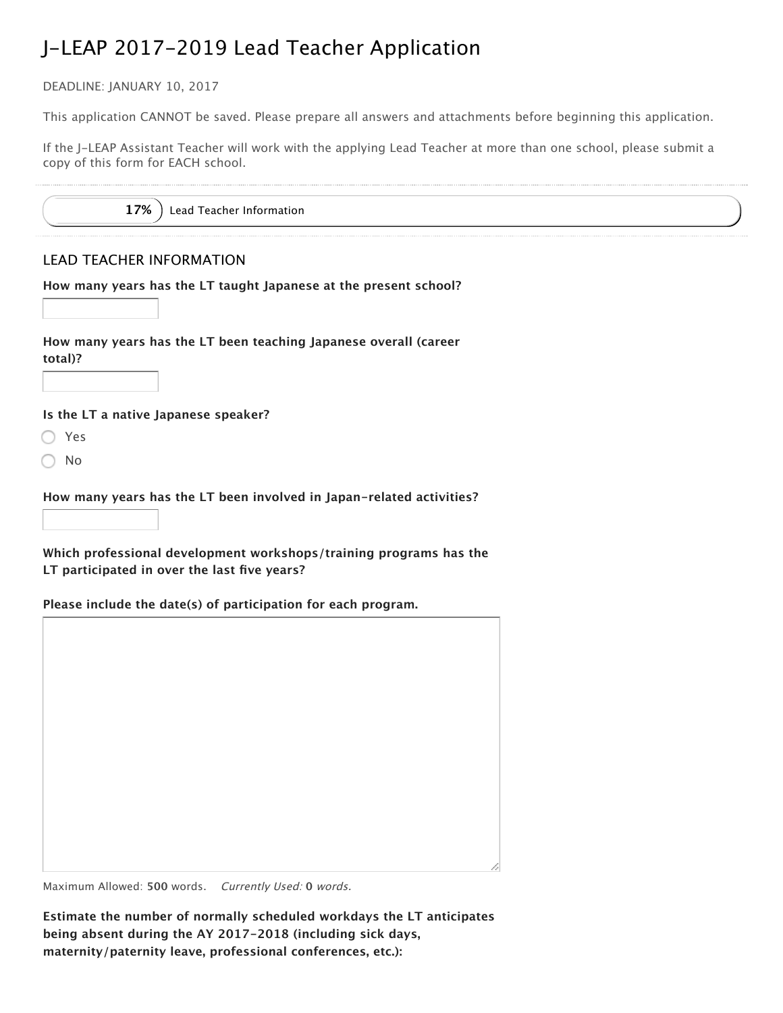DEADLINE: JANUARY 10, 2017

This application CANNOT be saved. Please prepare all answers and attachments before beginning this application.

If the J–LEAP Assistant Teacher will work with the applying Lead Teacher at more than one school, please submit a copy of this form for EACH school.

17% ) Lead Teacher Information

# LEAD TEACHER INFORMATION

**How many years has the LT taught Japanese at the present school?**

**How many years has the LT been teaching Japanese overall (career total)?**

**Is the LT a native Japanese speaker?**

- Yes
- No

**How many years has the LT been involved in Japan‑related activities?**

**Which professional development workshops/training programs has the LT participated in over the last five years?**

**Please include the date(s) of participation for each program.**

Maximum Allowed: **500** words. Currently Used: **0** words.

**Estimate the number of normally scheduled workdays the LT anticipates being absent during the AY 2017‑2018 (including sick days, maternity/paternity leave, professional conferences, etc.):**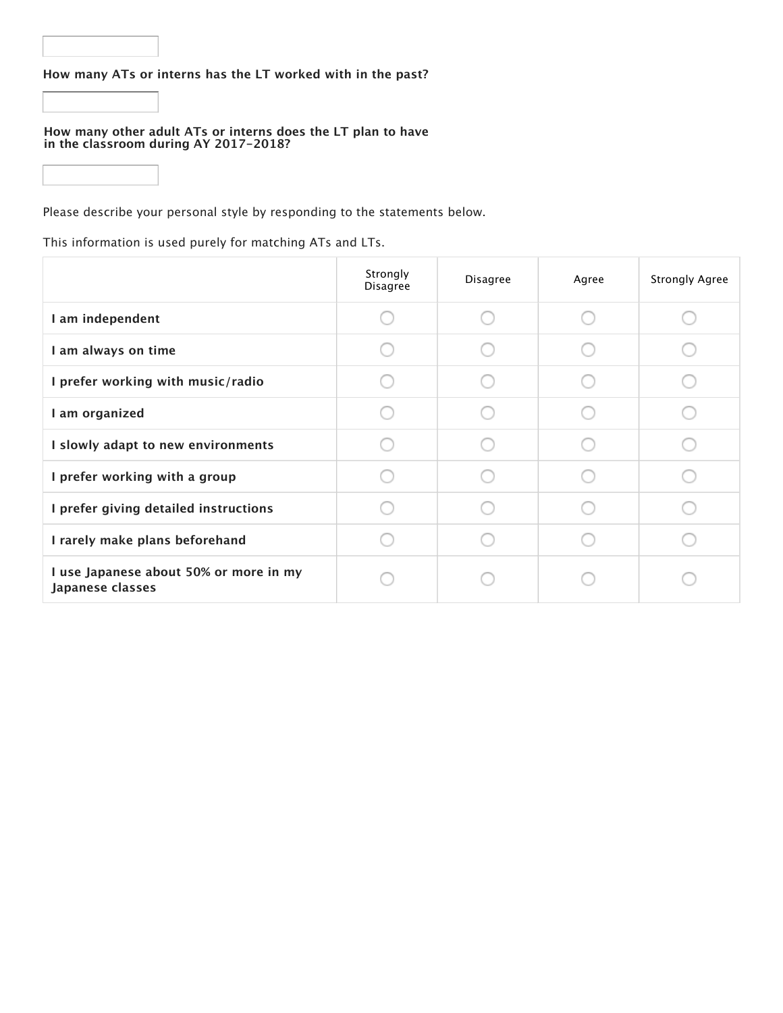# **How many ATs or interns has the LT worked with in the past?**

#### **How many other adult ATs or interns does the LT plan to have in the classroom during AY 2017-2018?**

Please describe your personal style by responding to the statements below.

This information is used purely for matching ATs and LTs.

|                                                            | Strongly<br>Disagree | Disagree | Agree | <b>Strongly Agree</b> |
|------------------------------------------------------------|----------------------|----------|-------|-----------------------|
| I am independent                                           |                      |          |       |                       |
| I am always on time                                        |                      |          |       |                       |
| I prefer working with music/radio                          |                      |          |       |                       |
| I am organized                                             |                      |          |       |                       |
| I slowly adapt to new environments                         |                      |          |       |                       |
| I prefer working with a group                              |                      |          |       |                       |
| I prefer giving detailed instructions                      |                      |          |       |                       |
| I rarely make plans beforehand                             |                      |          |       |                       |
| I use Japanese about 50% or more in my<br>Japanese classes |                      |          |       |                       |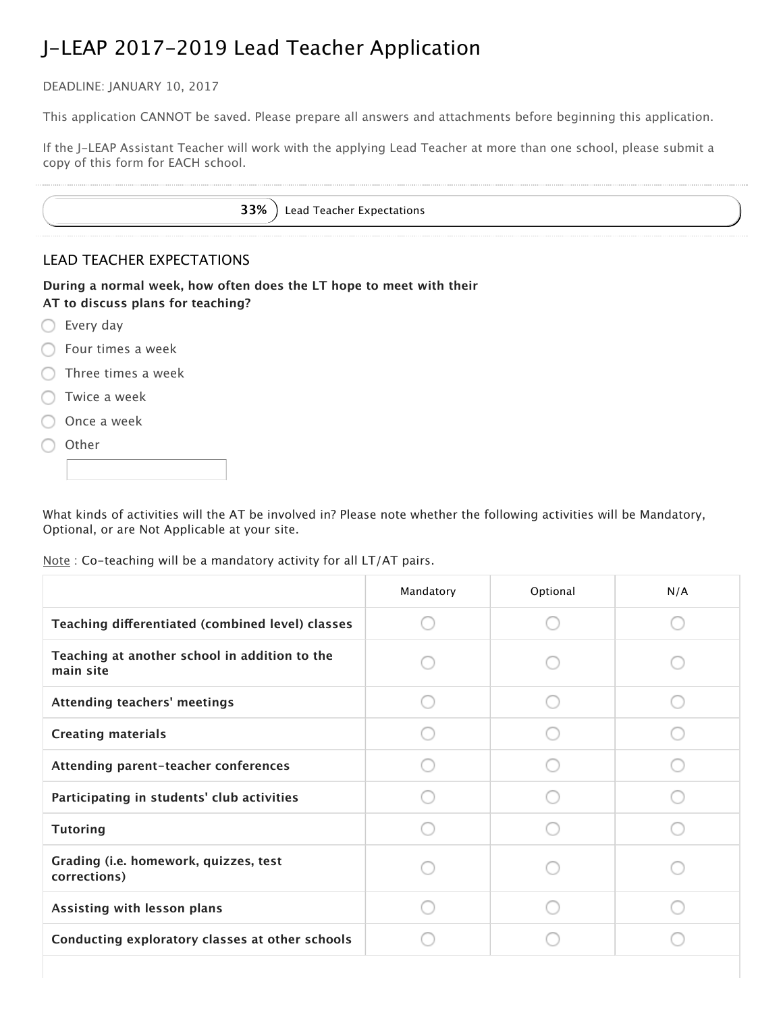DEADLINE: JANUARY 10, 2017

This application CANNOT be saved. Please prepare all answers and attachments before beginning this application.

If the J–LEAP Assistant Teacher will work with the applying Lead Teacher at more than one school, please submit a copy of this form for EACH school.

|  |  |  | 33%) Lead Teacher Expectations |
|--|--|--|--------------------------------|
|--|--|--|--------------------------------|

# LEAD TEACHER EXPECTATIONS

**During a normal week, how often does the LT hope to meet with their AT to discuss plans for teaching?**

- ◯ Every day
- **C** Four times a week
- $\bigcirc$  Three times a week
- Twice a week
- Once a week
- ◯ Other

What kinds of activities will the AT be involved in? Please note whether the following activities will be Mandatory, Optional, or are Not Applicable at your site.

Note : Co-teaching will be a mandatory activity for all LT/AT pairs.

|                                                            | Mandatory | Optional | N/A |
|------------------------------------------------------------|-----------|----------|-----|
| Teaching differentiated (combined level) classes           |           |          |     |
| Teaching at another school in addition to the<br>main site |           |          |     |
| Attending teachers' meetings                               |           |          |     |
| <b>Creating materials</b>                                  |           |          |     |
| Attending parent-teacher conferences                       |           |          |     |
| Participating in students' club activities                 |           |          |     |
| <b>Tutoring</b>                                            |           |          |     |
| Grading (i.e. homework, quizzes, test<br>corrections)      |           |          |     |
| Assisting with lesson plans                                |           |          |     |
| Conducting exploratory classes at other schools            |           |          |     |
|                                                            |           |          |     |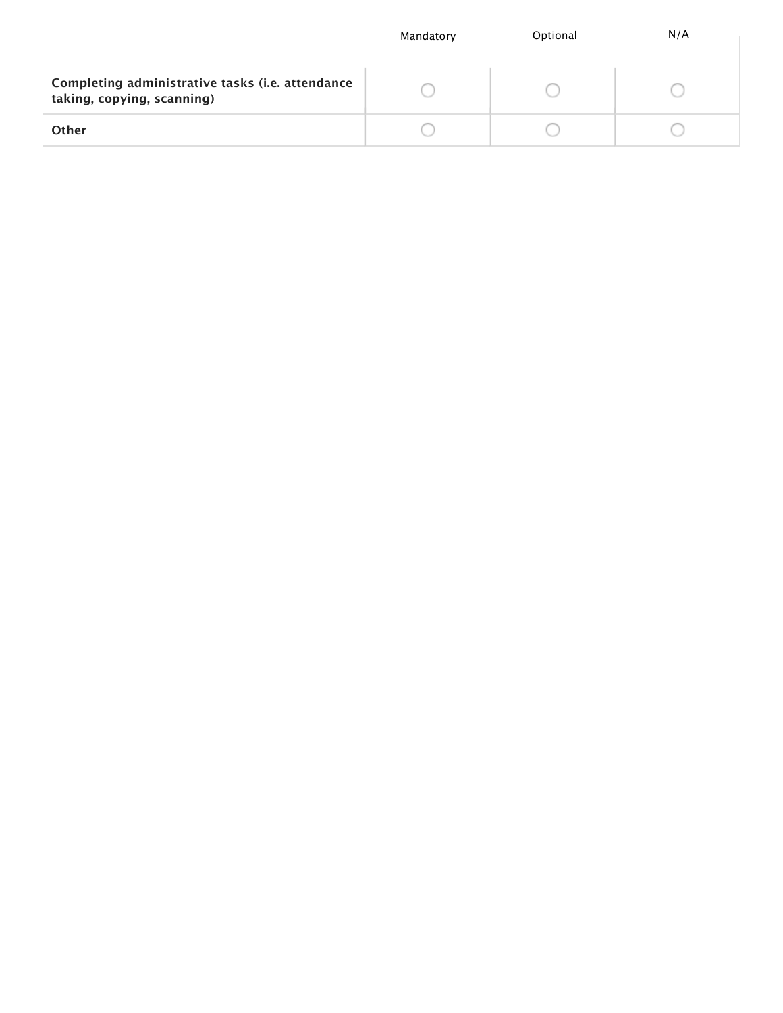|                                                                                | Mandatory | Optional | N/A |
|--------------------------------------------------------------------------------|-----------|----------|-----|
| Completing administrative tasks (i.e. attendance<br>taking, copying, scanning) |           |          |     |
| Other                                                                          |           |          |     |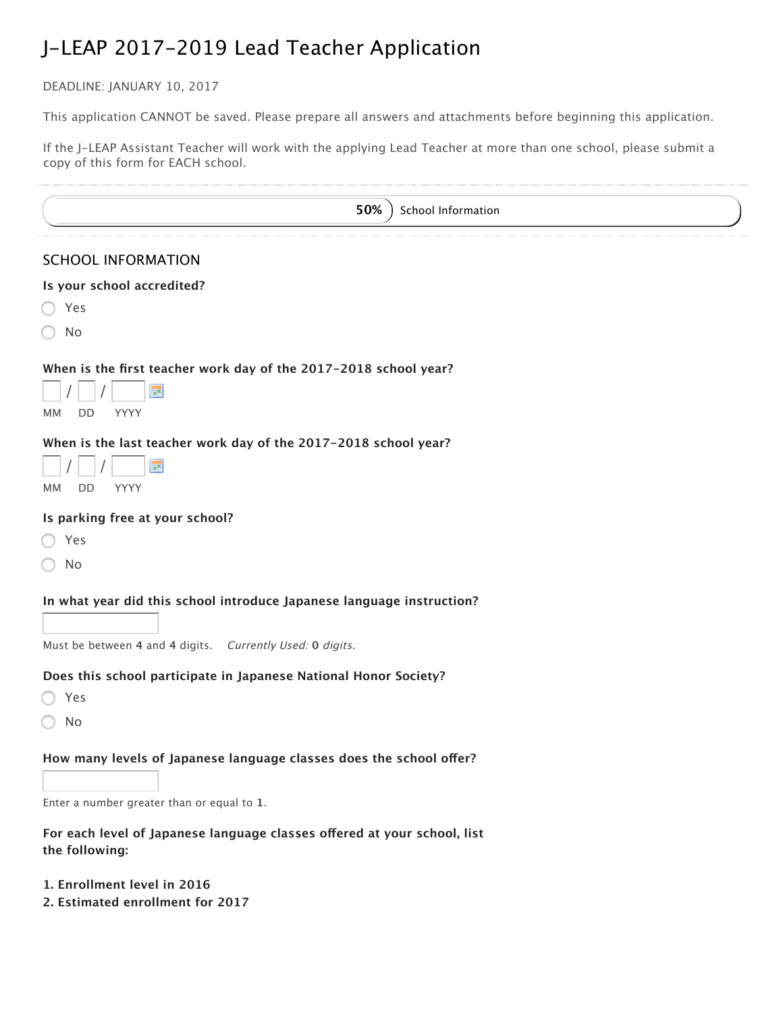DEADLINE: JANUARY 10, 2017

à.

 $\ddot{\phantom{a}}$ 

This application CANNOT be saved. Please prepare all answers and attachments before beginning this application.

If the J-LEAP Assistant Teacher will work with the applying Lead Teacher at more than one school, please submit a copy of this form for EACH school.

| 50%<br>School Information                                                                  |
|--------------------------------------------------------------------------------------------|
| <b>SCHOOL INFORMATION</b>                                                                  |
| Is your school accredited?                                                                 |
| Yes                                                                                        |
| No                                                                                         |
| When is the first teacher work day of the 2017-2018 school year?                           |
| 噩<br>YYYY<br>DD<br>MМ                                                                      |
| When is the last teacher work day of the 2017-2018 school year?                            |
| m                                                                                          |
| YYYY<br>MМ<br>DD                                                                           |
| Is parking free at your school?                                                            |
| Yes                                                                                        |
| No                                                                                         |
| In what year did this school introduce Japanese language instruction?                      |
|                                                                                            |
| Must be between 4 and 4 digits. Currently Used: 0 digits.                                  |
| Does this school participate in Japanese National Honor Society?                           |
| Yes                                                                                        |
| No                                                                                         |
| How many levels of Japanese language classes does the school offer?                        |
|                                                                                            |
| Enter a number greater than or equal to 1.                                                 |
| For each level of Japanese language classes offered at your school, list<br>the following: |
| 1. Enrollment level in 2016<br>2. Estimated enrollment for 2017                            |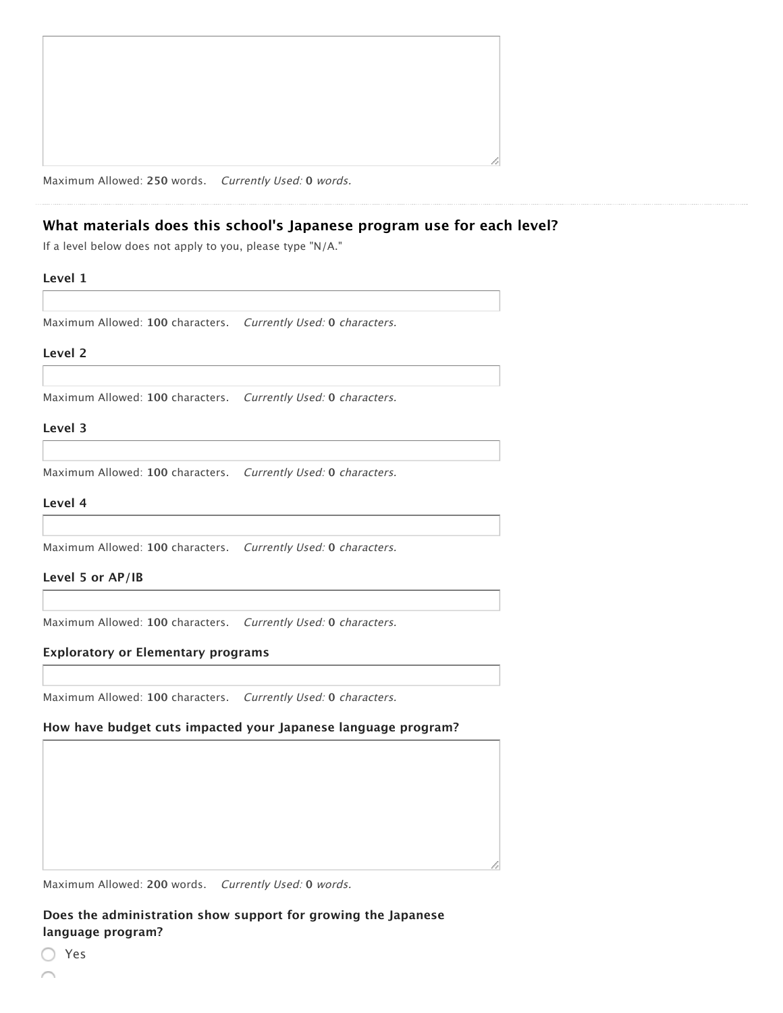| ,我们也不会不会不会。""我们的,我们也不会不会不会。""我们的,我们也不会不会不会不会不会。""我们的,我们也不会不会不会不会。""我们的,我们也不会不会不会 |
|----------------------------------------------------------------------------------|
|                                                                                  |
|                                                                                  |
|                                                                                  |
|                                                                                  |
|                                                                                  |
|                                                                                  |
|                                                                                  |
|                                                                                  |
|                                                                                  |
|                                                                                  |
|                                                                                  |
|                                                                                  |
|                                                                                  |
|                                                                                  |
|                                                                                  |
|                                                                                  |
|                                                                                  |
|                                                                                  |
|                                                                                  |
|                                                                                  |
|                                                                                  |
|                                                                                  |
|                                                                                  |
|                                                                                  |
|                                                                                  |
|                                                                                  |
|                                                                                  |
|                                                                                  |
|                                                                                  |
|                                                                                  |
|                                                                                  |
|                                                                                  |
|                                                                                  |
|                                                                                  |
|                                                                                  |
|                                                                                  |
|                                                                                  |
|                                                                                  |
|                                                                                  |
|                                                                                  |
|                                                                                  |
|                                                                                  |
|                                                                                  |
|                                                                                  |
|                                                                                  |
|                                                                                  |
|                                                                                  |
|                                                                                  |
|                                                                                  |
|                                                                                  |
|                                                                                  |
|                                                                                  |
|                                                                                  |
|                                                                                  |
|                                                                                  |
|                                                                                  |
|                                                                                  |
|                                                                                  |
|                                                                                  |
|                                                                                  |
|                                                                                  |
|                                                                                  |
|                                                                                  |

Maximum Allowed: **250** words. Currently Used: **0** words.

# **What materials does this school's Japanese program use for each level?**

If a level below does not apply to you, please type "N/A."

### **Level 1**

Maximum Allowed: **100** characters. Currently Used: **0** characters.

#### **Level 2**

Maximum Allowed: **100** characters. Currently Used: **0** characters.

#### **Level 3**

Maximum Allowed: **100** characters. Currently Used: **0** characters.

#### **Level 4**

Maximum Allowed: **100** characters. Currently Used: **0** characters.

#### **Level 5 or AP/IB**

Maximum Allowed: **100** characters. Currently Used: **0** characters.

#### **Exploratory or Elementary programs**

Maximum Allowed: **100** characters. Currently Used: **0** characters.

# **How have budget cuts impacted your Japanese language program?**

Maximum Allowed: **200** words. Currently Used: **0** words.

**Does the administration show support for growing the Japanese language program?**

Yes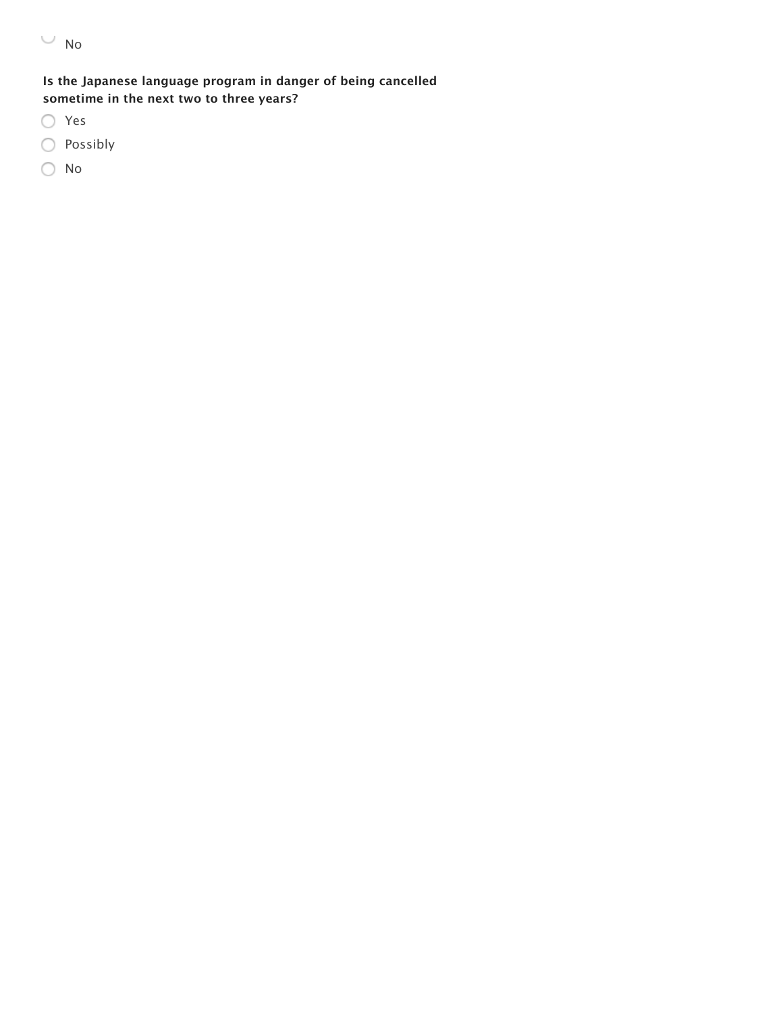$\cup$  No

# **Is the Japanese language program in danger of being cancelled sometime in the next two to three years?**

- Yes
- Possibly
- No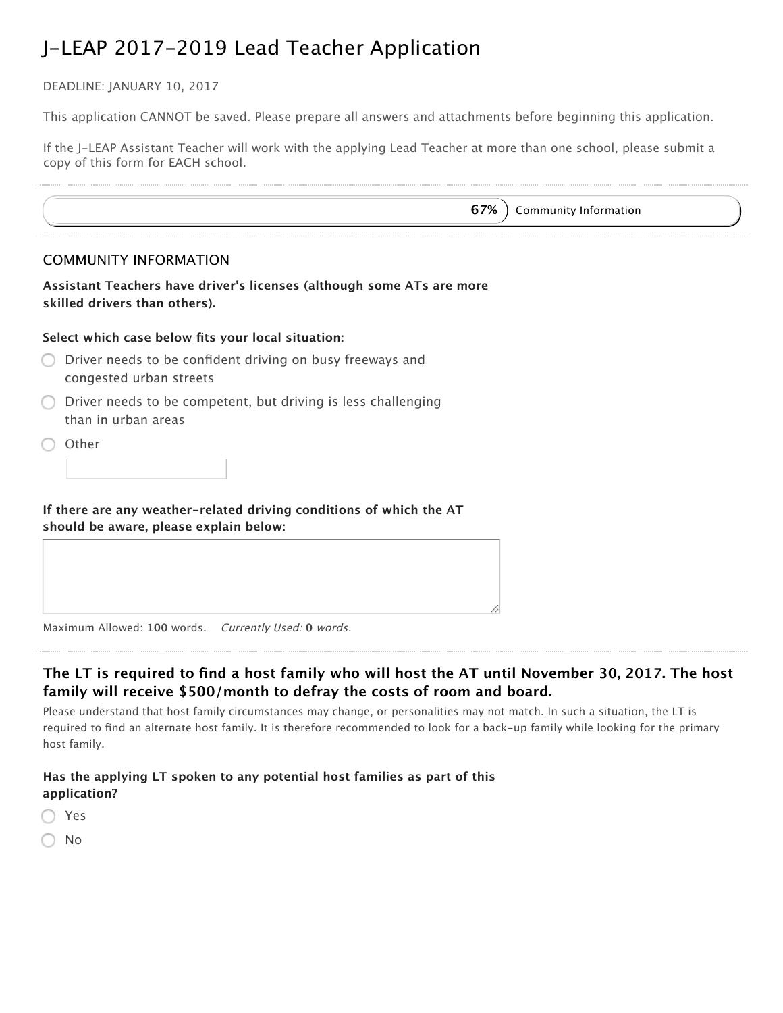DEADLINE: JANUARY 10, 2017

This application CANNOT be saved. Please prepare all answers and attachments before beginning this application.

If the J–LEAP Assistant Teacher will work with the applying Lead Teacher at more than one school, please submit a copy of this form for EACH school.

|                     | <b>COMMUNITY INFORMATION</b>                                                                                  |  |
|---------------------|---------------------------------------------------------------------------------------------------------------|--|
|                     | Assistant Teachers have driver's licenses (although some ATs are more<br>skilled drivers than others).        |  |
|                     | Select which case below fits your local situation:                                                            |  |
|                     | Driver needs to be confident driving on busy freeways and<br>congested urban streets                          |  |
| than in urban areas | Driver needs to be competent, but driving is less challenging                                                 |  |
| Other               |                                                                                                               |  |
|                     | If there are any weather-related driving conditions of which the AT<br>should be aware, please explain below: |  |

Maximum Allowed: **100** words. Currently Used: **0** words.

# The LT is required to find a host family who will host the AT until November 30, 2017. The host **family will receive \$500/month to defray the costs of room and board.**

Please understand that host family circumstances may change, or personalities may not match. In such a situation, the LT is required to find an alternate host family. It is therefore recommended to look for a back–up family while looking for the primary host family.

# **Has the applying LT spoken to any potential host families as part of this application?**

| ×<br>v<br>w |
|-------------|
|             |

No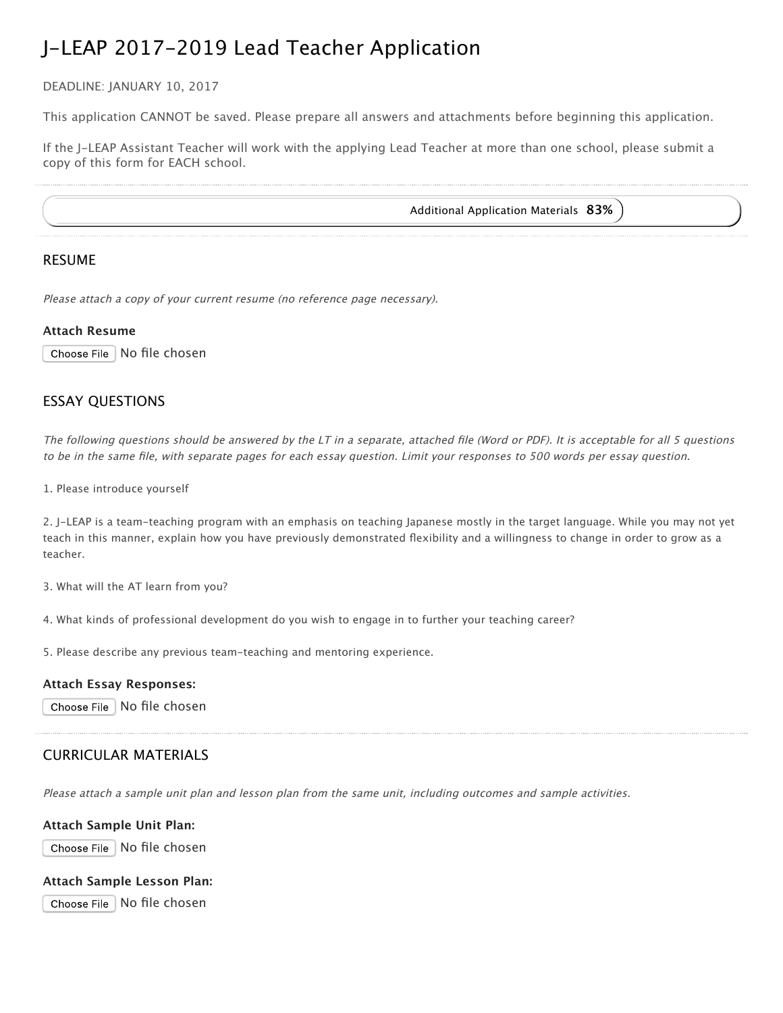DEADLINE: JANUARY 10, 2017

This application CANNOT be saved. Please prepare all answers and attachments before beginning this application.

If the J–LEAP Assistant Teacher will work with the applying Lead Teacher at more than one school, please submit a copy of this form for EACH school.

Additional Application Materials **83%**

# RESUME

Please attach <sup>a</sup> copy of your current resume (no reference page necessary).

### **Attach Resume**

Choose File | No file chosen

# ESSAY QUESTIONS

The following questions should be answered by the LT in <sup>a</sup> separate, attached file (Word or PDF). It is acceptable for all 5 questions to be in the same file, with separate pages for each essay question. Limit your responses to 500 words per essay question.

1. Please introduce yourself

2. J‑LEAP is a team‑teaching program with an emphasis on teaching Japanese mostly in the target language. While you may not yet teach in this manner, explain how you have previously demonstrated flexibility and a willingness to change in order to grow as a teacher.

3. What will the AT learn from you?

4. What kinds of professional development do you wish to engage in to further your teaching career?

5. Please describe any previous team‑teaching and mentoring experience.

### **Attach Essay Responses:**

Choose File | No file chosen

# CURRICULAR MATERIALS

Please attach <sup>a</sup> sample unit plan and lesson plan from the same unit, including outcomes and sample activities.

### **Attach Sample Unit Plan:**

Choose File | No file chosen

### **Attach Sample Lesson Plan:**

Choose File No file chosen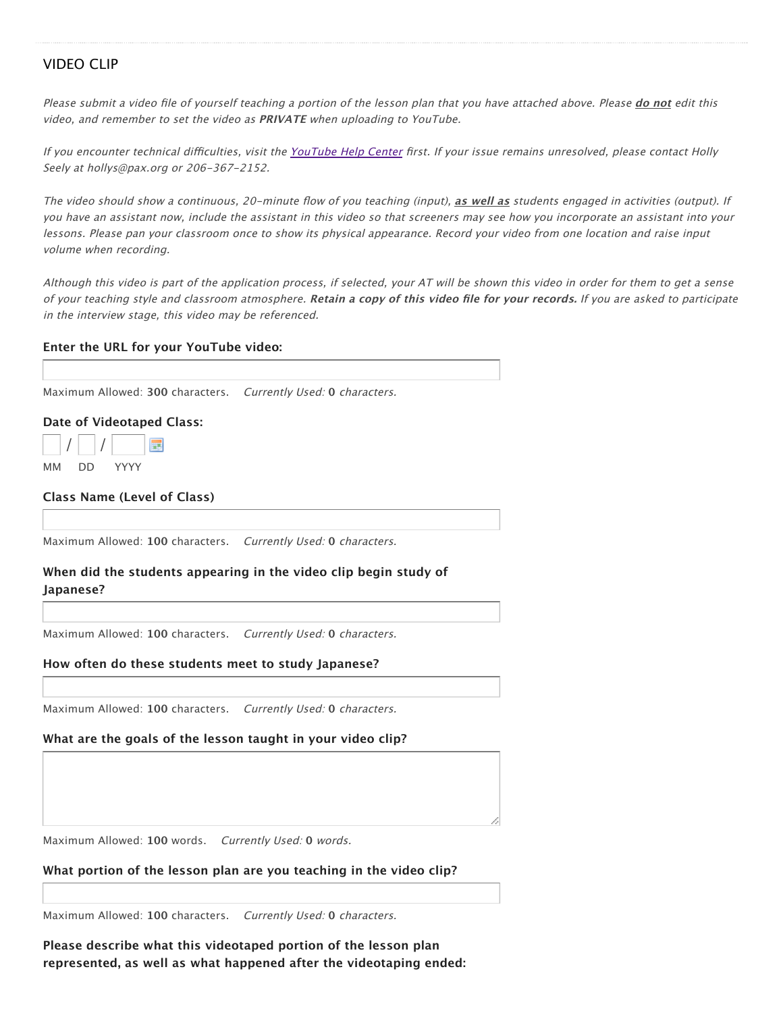# VIDEO CLIP

Please submit a video file of yourself teaching a portion of the lesson plan that you have attached above. Please do not edit this video, and remember to set the video as **PRIVATE** when uploading to YouTube.

If you encounter technical difficulties, visit the YouTube Help Center first. If your issue remains unresolved, please contact Holly Seely at hollys@pax.org or 206-367-2152.

The video should show a continuous, 20-minute flow of you teaching (input), as well as students engaged in activities (output). If you have an assistant now, include the assistant in this video so that screeners may see how you incorporate an assistant into your lessons. Please pan your classroom once to show its physical appearance. Record your video from one location and raise input volume when recording.

Although this video is part of the application process, if selected, your AT will be shown this video in order for them to get <sup>a</sup> sense of your teaching style and classroom atmosphere. **Retain <sup>a</sup> copy of this video file for your records.** If you are asked to participate in the interview stage, this video may be referenced.

#### **Enter the URL for your YouTube video:**

Maximum Allowed: **300** characters. Currently Used: **0** characters.

#### **Date of Videotaped Class:**

| <b>MM</b><br>1.11 |  | <b>VVVV</b> |  |
|-------------------|--|-------------|--|

**Class Name (Level of Class)**

Maximum Allowed: **100** characters. Currently Used: **0** characters.

# **When did the students appearing in the video clip begin study of Japanese?**

Maximum Allowed: **100** characters. Currently Used: **0** characters.

#### **How often do these students meet to study Japanese?**

Maximum Allowed: **100** characters. Currently Used: **0** characters.

#### **What are the goals of the lesson taught in your video clip?**

Maximum Allowed: **100** words. Currently Used: **0** words.

**What portion of the lesson plan are you teaching in the video clip?**

Maximum Allowed: **100** characters. Currently Used: **0** characters.

**Please describe what this videotaped portion of the lesson plan represented, as well as what happened after the videotaping ended:**